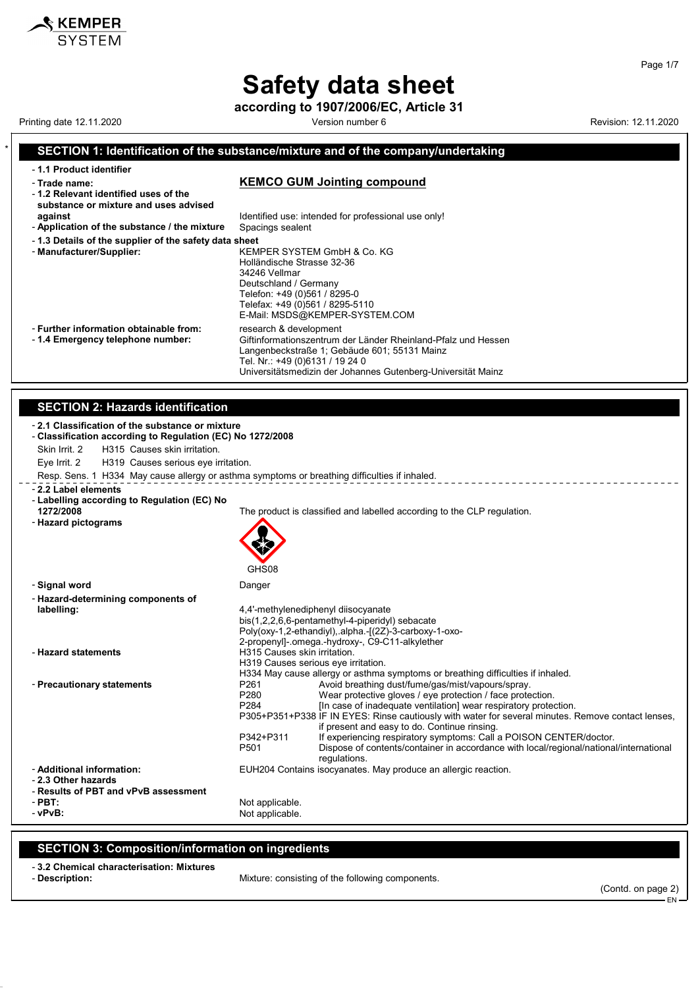# Safety data sheet

according to 1907/2006/EC, Article 31

Printing date 12.11.2020 **Version number 6 Revision: 12.11.2020** Revision: 12.11.2020

KEMPER **SYSTEM** 

SECTION 1: Identification of the substance/mixture and of the company/undertaking

| - 1.1 Product identifier                                                    |                                                                                                                                                                            |
|-----------------------------------------------------------------------------|----------------------------------------------------------------------------------------------------------------------------------------------------------------------------|
| - Trade name:                                                               | <b>KEMCO GUM Jointing compound</b>                                                                                                                                         |
| -1.2 Relevant identified uses of the                                        |                                                                                                                                                                            |
| substance or mixture and uses advised<br>against                            | Identified use: intended for professional use only!                                                                                                                        |
| - Application of the substance / the mixture                                | Spacings sealent                                                                                                                                                           |
| -1.3 Details of the supplier of the safety data sheet                       |                                                                                                                                                                            |
| - Manufacturer/Supplier:                                                    | KEMPER SYSTEM GmbH & Co. KG<br>Holländische Strasse 32-36<br>34246 Vellmar<br>Deutschland / Germany                                                                        |
|                                                                             | Telefon: +49 (0)561 / 8295-0<br>Telefax: +49 (0)561 / 8295-5110<br>E-Mail: MSDS@KEMPER-SYSTEM.COM                                                                          |
| - Further information obtainable from:<br>- 1.4 Emergency telephone number: | research & development<br>Giftinformationszentrum der Länder Rheinland-Pfalz und Hessen<br>Langenbeckstraße 1; Gebäude 601; 55131 Mainz<br>Tel. Nr.: +49 (0)6131 / 19 24 0 |
|                                                                             | Universitätsmedizin der Johannes Gutenberg-Universität Mainz                                                                                                               |
|                                                                             |                                                                                                                                                                            |
| <b>SECTION 2: Hazards identification</b>                                    |                                                                                                                                                                            |
|                                                                             |                                                                                                                                                                            |
| - 2.1 Classification of the substance or mixture                            |                                                                                                                                                                            |
| - Classification according to Regulation (EC) No 1272/2008                  |                                                                                                                                                                            |
| Skin Irrit. 2<br>H315 Causes skin irritation.                               |                                                                                                                                                                            |
| Eye Irrit. 2<br>H319 Causes serious eye irritation.                         | Resp. Sens. 1 H334 May cause allergy or asthma symptoms or breathing difficulties if inhaled.                                                                              |
| - 2.2 Label elements                                                        |                                                                                                                                                                            |
| - Labelling according to Regulation (EC) No                                 |                                                                                                                                                                            |
| 1272/2008                                                                   | The product is classified and labelled according to the CLP regulation.                                                                                                    |
| - Hazard pictograms                                                         |                                                                                                                                                                            |
|                                                                             |                                                                                                                                                                            |
|                                                                             |                                                                                                                                                                            |
|                                                                             | GHS08                                                                                                                                                                      |
| - Signal word                                                               | Danger                                                                                                                                                                     |
| - Hazard-determining components of                                          |                                                                                                                                                                            |
| labelling:                                                                  | 4,4'-methylenediphenyl diisocyanate                                                                                                                                        |
|                                                                             | bis(1,2,2,6,6-pentamethyl-4-piperidyl) sebacate                                                                                                                            |
|                                                                             | Poly(oxy-1,2-ethandiyl), alpha.-[(2Z)-3-carboxy-1-oxo-<br>2-propenyl]-.omega.-hydroxy-, C9-C11-alkylether                                                                  |
| - Hazard statements                                                         | H315 Causes skin irritation.                                                                                                                                               |
|                                                                             | H319 Causes serious eye irritation.                                                                                                                                        |
|                                                                             | H334 May cause allergy or asthma symptoms or breathing difficulties if inhaled.                                                                                            |
| - Precautionary statements                                                  | P261<br>Avoid breathing dust/fume/gas/mist/vapours/spray.<br>P280<br>Wear protective gloves / eye protection / face protection.                                            |
|                                                                             | P284<br>[In case of inadequate ventilation] wear respiratory protection.                                                                                                   |
|                                                                             | P305+P351+P338 IF IN EYES: Rinse cautiously with water for several minutes. Remove contact lenses,                                                                         |
|                                                                             | if present and easy to do. Continue rinsing.<br>P342+P311<br>If experiencing respiratory symptoms: Call a POISON CENTER/doctor.                                            |
|                                                                             | Dispose of contents/container in accordance with local/regional/national/international<br>P501                                                                             |
|                                                                             | regulations.                                                                                                                                                               |
| - Additional information:                                                   | EUH204 Contains isocyanates. May produce an allergic reaction.                                                                                                             |
| - 2.3 Other hazards<br>- Results of PBT and vPvB assessment                 |                                                                                                                                                                            |
| - PBT:                                                                      | Not applicable.                                                                                                                                                            |
| - vPvB:                                                                     | Not applicable.                                                                                                                                                            |
|                                                                             |                                                                                                                                                                            |

### SECTION 3: Composition/information on ingredients

- 3.2 Chemical characterisation: Mixtures

Mixture: consisting of the following components.

(Contd. on page 2)

EN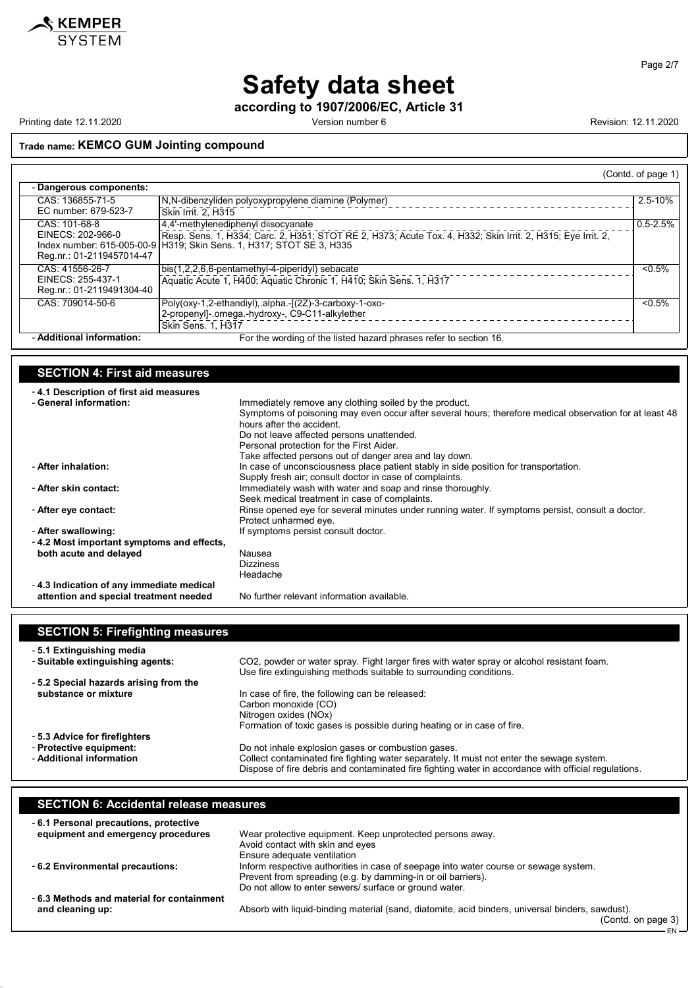

Page 2/7

## Safety data sheet

according to 1907/2006/EC, Article 31

Printing date 12.11.2020 **Version number 6 Revision: 12.11.2020** Revision: 12.11.2020

(Contd. on page 3)

EN

#### Trade name: KEMCO GUM Jointing compound

|                           |                                                                                                             | (Contd. of page 1) |
|---------------------------|-------------------------------------------------------------------------------------------------------------|--------------------|
| - Dangerous components:   |                                                                                                             |                    |
| CAS: 136855-71-5          | N,N-dibenzyliden polyoxypropylene diamine (Polymer)                                                         | 2.5-10%            |
| EC number: 679-523-7      | Skin Irrit. 2. H315                                                                                         |                    |
| CAS: 101-68-8             | 4.4'-methylenediphenyl diisocyanate                                                                         | $0.5 - 2.5%$       |
| EINECS: 202-966-0         | Resp. Sens. 1, H334; Carc. 2, H351; STOT RE 2, H373; Acute Tox. 4, H332; Skin Irrit. 2, H315; Eve Irrit. 2, |                    |
|                           | Index number: 615-005-00-9 H319; Skin Sens. 1, H317; STOT SE 3, H335                                        |                    |
| Reg.nr.: 01-2119457014-47 |                                                                                                             |                    |
| CAS: 41556-26-7           | bis(1,2,2,6,6-pentamethyl-4-piperidyl) sebacate                                                             | $< 0.5\%$          |
| EINECS: 255-437-1         | Aquatic Acute 1, H400; Aquatic Chronic 1, H410; Skin Sens. 1, H317                                          |                    |
| Reg.nr.: 01-2119491304-40 |                                                                                                             |                    |
| CAS: 709014-50-6          | Poly(oxy-1,2-ethandiyl), alpha.-[(2Z)-3-carboxy-1-oxo-                                                      | $< 0.5\%$          |
|                           | 2-propenyl]-.omega.-hydroxy-, C9-C11-alkylether                                                             |                    |
|                           | <b>Skin Sens. 1. H317</b>                                                                                   |                    |
| - Additional information: | For the wording of the listed hazard phrases refer to section 16.                                           |                    |

#### SECTION 4: First aid measures - 4.1 Description of first aid measures Immediately remove any clothing soiled by the product. Symptoms of poisoning may even occur after several hours; therefore medical observation for at least 48 hours after the accident. Do not leave affected persons unattended. Personal protection for the First Aider.

|                                           | Personal protection for the First Alder.<br>Take affected persons out of danger area and lay down. |
|-------------------------------------------|----------------------------------------------------------------------------------------------------|
| - After inhalation:                       | In case of unconsciousness place patient stably in side position for transportation.               |
|                                           | Supply fresh air; consult doctor in case of complaints.                                            |
| - After skin contact:                     | Immediately wash with water and soap and rinse thoroughly.                                         |
|                                           | Seek medical treatment in case of complaints.                                                      |
| - After eye contact:                      | Rinse opened eye for several minutes under running water. If symptoms persist, consult a doctor.   |
|                                           | Protect unharmed eye.                                                                              |
| - After swallowing:                       | If symptoms persist consult doctor.                                                                |
| -4.2 Most important symptoms and effects, |                                                                                                    |
| both acute and delayed                    | Nausea                                                                                             |
|                                           | <b>Dizziness</b>                                                                                   |
|                                           | Headache                                                                                           |
| -4.3 Indication of any immediate medical  |                                                                                                    |
| attention and special treatment needed    | No further relevant information available.                                                         |

| <b>SECTION 5: Firefighting measures</b> |                                                                                                                                                                                                   |
|-----------------------------------------|---------------------------------------------------------------------------------------------------------------------------------------------------------------------------------------------------|
| - 5.1 Extinguishing media               |                                                                                                                                                                                                   |
| - Suitable extinguishing agents:        | CO2, powder or water spray. Fight larger fires with water spray or alcohol resistant foam.<br>Use fire extinguishing methods suitable to surrounding conditions.                                  |
| -5.2 Special hazards arising from the   |                                                                                                                                                                                                   |
| substance or mixture                    | In case of fire, the following can be released:                                                                                                                                                   |
|                                         | Carbon monoxide (CO)                                                                                                                                                                              |
|                                         | Nitrogen oxides (NOx)                                                                                                                                                                             |
|                                         | Formation of toxic gases is possible during heating or in case of fire.                                                                                                                           |
| - 5.3 Advice for firefighters           |                                                                                                                                                                                                   |
| - Protective equipment:                 | Do not inhale explosion gases or combustion gases.                                                                                                                                                |
| - Additional information                | Collect contaminated fire fighting water separately. It must not enter the sewage system.<br>Dispose of fire debris and contaminated fire fighting water in accordance with official regulations. |

#### SECTION 6: Accidental release measures - 6.1 Personal precautions, protective equipment and emergency procedures Wear protective equipment. Keep unprotected persons away. Avoid contact with skin and eyes Ensure adequate ventilation - 6.2 Environmental precautions: Inform respective authorities in case of seepage into water course or sewage system. Prevent from spreading (e.g. by damming-in or oil barriers). Do not allow to enter sewers/ surface or ground water. - 6.3 Methods and material for containment Absorb with liquid-binding material (sand, diatomite, acid binders, universal binders, sawdust).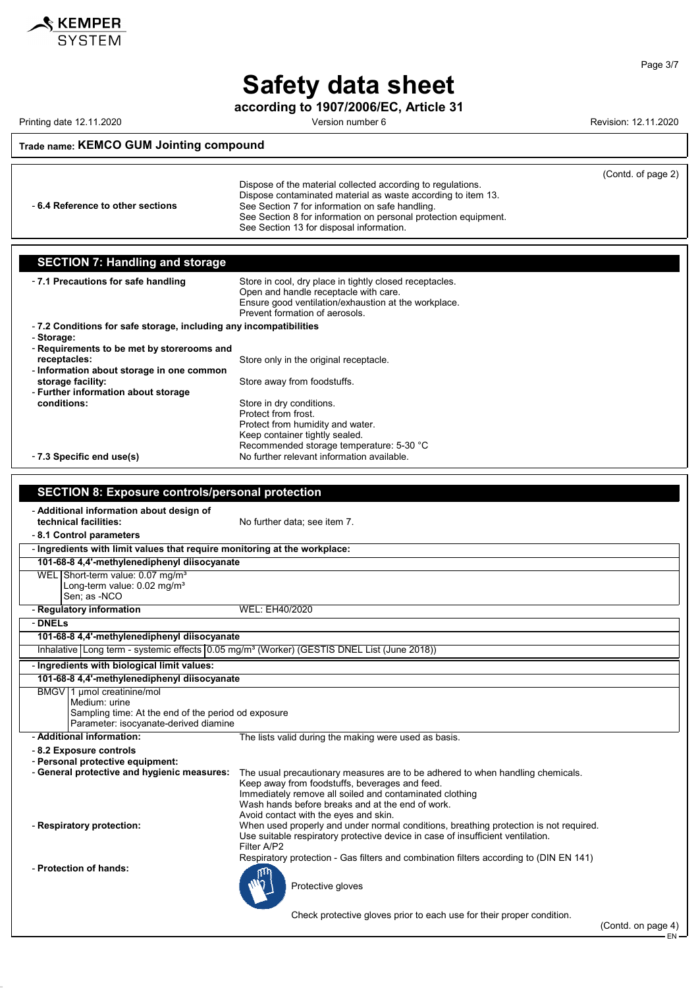

Safety data sheet

according to 1907/2006/EC, Article 31

Printing date 12.11.2020 **Printing date 12.11.2020** Version number 6 **Revision: 12.11.2020** 

### Trade name: KEMCO GUM Jointing compound

|                                                                                                         | Dispose of the material collected according to regulations.<br>Dispose contaminated material as waste according to item 13.                              | (Contd. of page 2) |
|---------------------------------------------------------------------------------------------------------|----------------------------------------------------------------------------------------------------------------------------------------------------------|--------------------|
| - 6.4 Reference to other sections                                                                       | See Section 7 for information on safe handling.                                                                                                          |                    |
|                                                                                                         | See Section 8 for information on personal protection equipment.<br>See Section 13 for disposal information.                                              |                    |
|                                                                                                         |                                                                                                                                                          |                    |
| <b>SECTION 7: Handling and storage</b>                                                                  |                                                                                                                                                          |                    |
|                                                                                                         |                                                                                                                                                          |                    |
| - 7.1 Precautions for safe handling                                                                     | Store in cool, dry place in tightly closed receptacles.<br>Open and handle receptacle with care.<br>Ensure good ventilation/exhaustion at the workplace. |                    |
|                                                                                                         | Prevent formation of aerosols.                                                                                                                           |                    |
| -7.2 Conditions for safe storage, including any incompatibilities<br>- Storage:                         |                                                                                                                                                          |                    |
| - Requirements to be met by storerooms and                                                              |                                                                                                                                                          |                    |
| receptacles:                                                                                            | Store only in the original receptacle.                                                                                                                   |                    |
| - Information about storage in one common<br>storage facility:                                          | Store away from foodstuffs.                                                                                                                              |                    |
| - Further information about storage                                                                     |                                                                                                                                                          |                    |
| conditions:                                                                                             | Store in dry conditions.                                                                                                                                 |                    |
|                                                                                                         | Protect from frost.<br>Protect from humidity and water.                                                                                                  |                    |
|                                                                                                         | Keep container tightly sealed.                                                                                                                           |                    |
|                                                                                                         | Recommended storage temperature: 5-30 °C                                                                                                                 |                    |
| - 7.3 Specific end use(s)                                                                               | No further relevant information available.                                                                                                               |                    |
|                                                                                                         |                                                                                                                                                          |                    |
| <b>SECTION 8: Exposure controls/personal protection</b>                                                 |                                                                                                                                                          |                    |
| - Additional information about design of<br>technical facilities:                                       | No further data; see item 7.                                                                                                                             |                    |
| - 8.1 Control parameters                                                                                |                                                                                                                                                          |                    |
| - Ingredients with limit values that require monitoring at the workplace:                               |                                                                                                                                                          |                    |
| 101-68-8 4,4'-methylenediphenyl diisocyanate                                                            |                                                                                                                                                          |                    |
| WEL Short-term value: 0.07 mg/m <sup>3</sup><br>Long-term value: 0.02 mg/m <sup>3</sup><br>Sen; as -NCO |                                                                                                                                                          |                    |
| - Regulatory information                                                                                | WEL: EH40/2020                                                                                                                                           |                    |
| - DNELs                                                                                                 |                                                                                                                                                          |                    |
| 101-68-8 4,4'-methylenediphenyl diisocyanate                                                            |                                                                                                                                                          |                    |
|                                                                                                         | Inhalative Long term - systemic effects 0.05 mg/m <sup>3</sup> (Worker) (GESTIS DNEL List (June 2018))                                                   |                    |
| - Ingredients with biological limit values:                                                             |                                                                                                                                                          |                    |
| 101-68-8 4,4'-methylenediphenyl diisocyanate                                                            |                                                                                                                                                          |                    |
| BMGV 1 µmol creatinine/mol<br>Medium: urine<br>Sampling time: At the end of the period od exposure      |                                                                                                                                                          |                    |
| Parameter: isocyanate-derived diamine                                                                   |                                                                                                                                                          |                    |
| - Additional information:                                                                               | The lists valid during the making were used as basis.                                                                                                    |                    |
| - 8.2 Exposure controls<br>- Personal protective equipment:                                             |                                                                                                                                                          |                    |
| - General protective and hygienic measures:                                                             | The usual precautionary measures are to be adhered to when handling chemicals.                                                                           |                    |
|                                                                                                         | Keep away from foodstuffs, beverages and feed.                                                                                                           |                    |
|                                                                                                         | Immediately remove all soiled and contaminated clothing<br>Wash hands before breaks and at the end of work.                                              |                    |
|                                                                                                         | Avoid contact with the eyes and skin.                                                                                                                    |                    |
| - Respiratory protection:                                                                               | When used properly and under normal conditions, breathing protection is not required.                                                                    |                    |
|                                                                                                         | Use suitable respiratory protective device in case of insufficient ventilation.<br>Filter A/P2                                                           |                    |
|                                                                                                         | Respiratory protection - Gas filters and combination filters according to (DIN EN 141)                                                                   |                    |
| - Protection of hands:                                                                                  |                                                                                                                                                          |                    |
|                                                                                                         | Protective gloves                                                                                                                                        |                    |
|                                                                                                         | Check protective gloves prior to each use for their proper condition.                                                                                    |                    |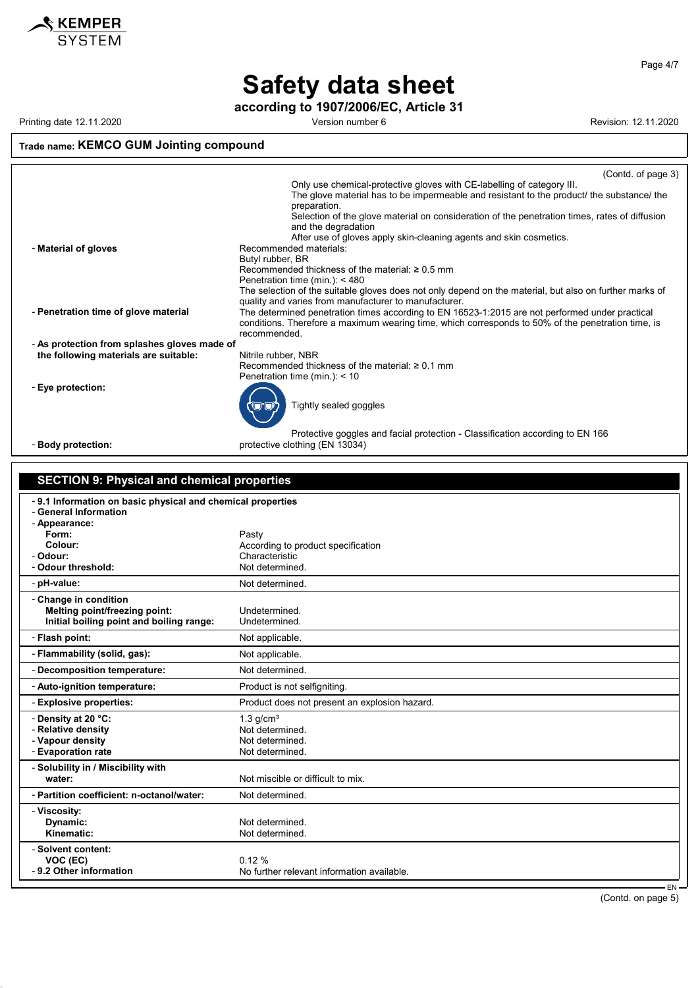

Page 4/7

## Safety data sheet

according to 1907/2006/EC, Article 31

Printing date 12.11.2020 **Printing date 12.11.2020** Version number 6 Revision: 12.11.2020

### Trade name: KEMCO GUM Jointing compound

|                                              | (Contd. of page 3)                                                                                                   |
|----------------------------------------------|----------------------------------------------------------------------------------------------------------------------|
|                                              | Only use chemical-protective gloves with CE-labelling of category III.                                               |
|                                              | The glove material has to be impermeable and resistant to the product/ the substance/ the                            |
|                                              | preparation.                                                                                                         |
|                                              | Selection of the glove material on consideration of the penetration times, rates of diffusion<br>and the degradation |
|                                              | After use of gloves apply skin-cleaning agents and skin cosmetics.                                                   |
| - Material of gloves                         | Recommended materials:                                                                                               |
|                                              | Butyl rubber, BR                                                                                                     |
|                                              | Recommended thickness of the material: $\geq 0.5$ mm                                                                 |
|                                              | Penetration time (min.): $<$ 480                                                                                     |
|                                              | The selection of the suitable gloves does not only depend on the material, but also on further marks of              |
|                                              | quality and varies from manufacturer to manufacturer.                                                                |
| - Penetration time of glove material         | The determined penetration times according to EN 16523-1:2015 are not performed under practical                      |
|                                              | conditions. Therefore a maximum wearing time, which corresponds to 50% of the penetration time, is                   |
|                                              | recommended.                                                                                                         |
|                                              |                                                                                                                      |
| - As protection from splashes gloves made of |                                                                                                                      |
| the following materials are suitable:        | Nitrile rubber, NBR                                                                                                  |
|                                              | Recommended thickness of the material: $\geq 0.1$ mm                                                                 |
|                                              | Penetration time (min.): $<$ 10                                                                                      |
| - Eye protection:                            | Tightly sealed goggles                                                                                               |
|                                              | Protective goggles and facial protection - Classification according to EN 166                                        |
| - Body protection:                           | protective clothing (EN 13034)                                                                                       |

| <b>SECTION 9: Physical and chemical properties</b>                                                            |                                                                                 |  |
|---------------------------------------------------------------------------------------------------------------|---------------------------------------------------------------------------------|--|
| -9.1 Information on basic physical and chemical properties<br>- General Information<br>- Appearance:<br>Form: | Pasty                                                                           |  |
| Colour:                                                                                                       | According to product specification                                              |  |
| - Odour:                                                                                                      | Characteristic                                                                  |  |
| - Odour threshold:                                                                                            | Not determined.                                                                 |  |
| - pH-value:                                                                                                   | Not determined.                                                                 |  |
| - Change in condition<br>Melting point/freezing point:<br>Initial boiling point and boiling range:            | Undetermined.<br>Undetermined.                                                  |  |
|                                                                                                               |                                                                                 |  |
| - Flash point:                                                                                                | Not applicable.                                                                 |  |
| - Flammability (solid, gas):                                                                                  | Not applicable.                                                                 |  |
| - Decomposition temperature:                                                                                  | Not determined.                                                                 |  |
| - Auto-ignition temperature:                                                                                  | Product is not selfigniting.                                                    |  |
| - Explosive properties:                                                                                       | Product does not present an explosion hazard.                                   |  |
| - Density at 20 °C:<br>- Relative density<br>- Vapour density<br>- Evaporation rate                           | $1.3$ g/cm <sup>3</sup><br>Not determined.<br>Not determined<br>Not determined. |  |
| - Solubility in / Miscibility with<br>water:                                                                  | Not miscible or difficult to mix.                                               |  |
| - Partition coefficient: n-octanol/water:                                                                     | Not determined.                                                                 |  |
| - Viscosity:<br>Dynamic:<br>Kinematic:                                                                        | Not determined.<br>Not determined.                                              |  |
| - Solvent content:<br>VOC (EC)<br>- 9.2 Other information                                                     | 0.12%<br>No further relevant information available.<br>$F_{\rm AL}$             |  |

EN (Contd. on page 5)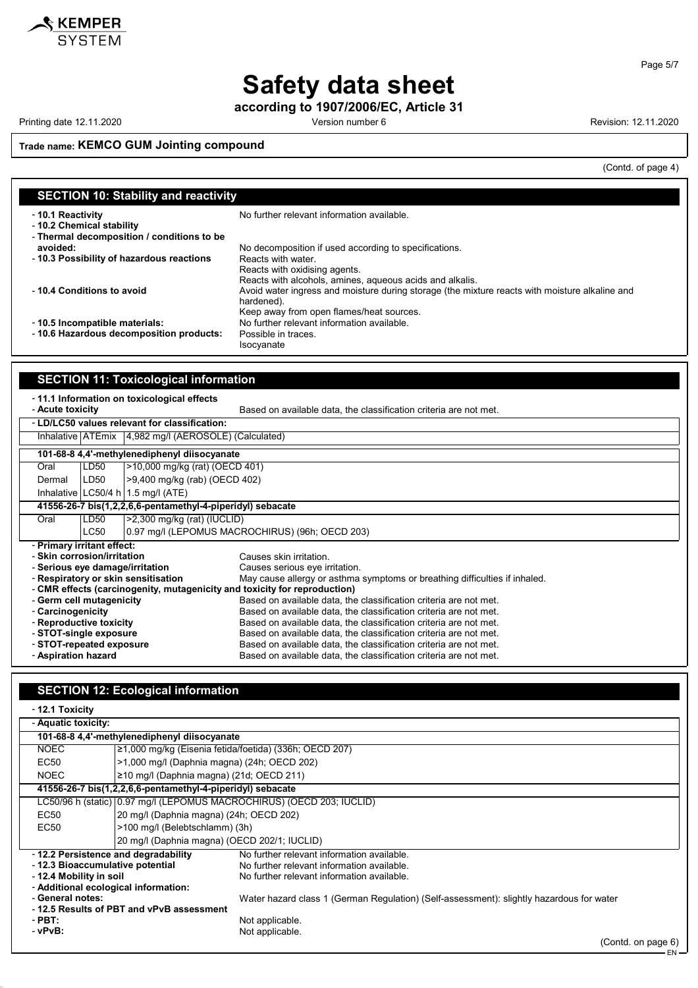

Page 5/7

# Safety data sheet

according to 1907/2006/EC, Article 31

Printing date 12.11.2020 **Printing date 12.11.2020** Version number 6 Revision: 12.11.2020

 $\overline{\phantom{a}}$ 

### Trade name: KEMCO GUM Jointing compound

(Contd. of page 4)

| <b>SECTION 10: Stability and reactivity</b>                                                 |                                                                                                                                                          |  |
|---------------------------------------------------------------------------------------------|----------------------------------------------------------------------------------------------------------------------------------------------------------|--|
| -10.1 Reactivity<br>- 10.2 Chemical stability<br>- Thermal decomposition / conditions to be | No further relevant information available.                                                                                                               |  |
| avoided:                                                                                    | No decomposition if used according to specifications.                                                                                                    |  |
| -10.3 Possibility of hazardous reactions                                                    | Reacts with water.<br>Reacts with oxidising agents.<br>Reacts with alcohols, amines, aqueous acids and alkalis.                                          |  |
| -10.4 Conditions to avoid                                                                   | Avoid water ingress and moisture during storage (the mixture reacts with moisture alkaline and<br>hardened).<br>Keep away from open flames/heat sources. |  |
| - 10.5 Incompatible materials:                                                              | No further relevant information available.                                                                                                               |  |
| -10.6 Hazardous decomposition products:                                                     | Possible in traces.<br>Isocyanate                                                                                                                        |  |

| <b>SECTION 11: Toxicological information</b>                                                                                        |             |                                                                                                                   |  |
|-------------------------------------------------------------------------------------------------------------------------------------|-------------|-------------------------------------------------------------------------------------------------------------------|--|
| -11.1 Information on toxicological effects<br>Based on available data, the classification criteria are not met.<br>- Acute toxicity |             |                                                                                                                   |  |
|                                                                                                                                     |             | - LD/LC50 values relevant for classification:                                                                     |  |
|                                                                                                                                     |             | Inhalative ATEmix 4,982 mg/l (AEROSOLE) (Calculated)                                                              |  |
|                                                                                                                                     |             | 101-68-8 4,4'-methylenediphenyl diisocyanate                                                                      |  |
| Oral                                                                                                                                | LD50        | >10,000 mg/kg (rat) (OECD 401)                                                                                    |  |
| Dermal                                                                                                                              | LD50        | >9,400 mg/kg (rab) (OECD 402)                                                                                     |  |
|                                                                                                                                     |             | Inhalative LC50/4 h   1.5 mg/l (ATE)                                                                              |  |
|                                                                                                                                     |             | 41556-26-7 bis(1,2,2,6,6-pentamethyl-4-piperidyl) sebacate                                                        |  |
| Oral                                                                                                                                | LD50        | $>2,300$ mg/kg (rat) (IUCLID)                                                                                     |  |
|                                                                                                                                     | <b>LC50</b> | 0.97 mg/l (LEPOMUS MACROCHIRUS) (96h; OECD 203)                                                                   |  |
| - Primary irritant effect:                                                                                                          |             |                                                                                                                   |  |
| - Skin corrosion/irritation                                                                                                         |             | Causes skin irritation                                                                                            |  |
|                                                                                                                                     |             | - Serious eye damage/irritation<br>Causes serious eye irritation.                                                 |  |
|                                                                                                                                     |             | - Respiratory or skin sensitisation<br>May cause allergy or asthma symptoms or breathing difficulties if inhaled. |  |
| - CMR effects (carcinogenity, mutagenicity and toxicity for reproduction)                                                           |             |                                                                                                                   |  |
| - Germ cell mutagenicity                                                                                                            |             | Based on available data, the classification criteria are not met.                                                 |  |
| - Carcinogenicity                                                                                                                   |             | Based on available data, the classification criteria are not met.                                                 |  |
| - Reproductive toxicity                                                                                                             |             | Based on available data, the classification criteria are not met.                                                 |  |
| - STOT-single exposure                                                                                                              |             | Based on available data, the classification criteria are not met.                                                 |  |
| - STOT-repeated exposure                                                                                                            |             | Based on available data, the classification criteria are not met.                                                 |  |
| - Aspiration hazard                                                                                                                 |             | Based on available data, the classification criteria are not met.                                                 |  |

## SECTION 12: Ecological information

- 12.1 Toxicity

| - Aquatic toxicity:                          |                                                            |                                                                                          |  |
|----------------------------------------------|------------------------------------------------------------|------------------------------------------------------------------------------------------|--|
| 101-68-8 4.4'-methylenediphenyl diisocyanate |                                                            |                                                                                          |  |
| <b>NOEC</b>                                  | 21,000 mg/kg (Eisenia fetida/foetida) (336h; OECD 207)     |                                                                                          |  |
| EC50                                         | >1,000 mg/l (Daphnia magna) (24h; OECD 202)                |                                                                                          |  |
| <b>NOEC</b>                                  | 210 mg/l (Daphnia magna) (21d; OECD 211)                   |                                                                                          |  |
|                                              | 41556-26-7 bis(1,2,2,6,6-pentamethyl-4-piperidyl) sebacate |                                                                                          |  |
|                                              |                                                            | LC50/96 h (static) 0.97 mg/l (LEPOMUS MACROCHIRUS) (OECD 203; IUCLID)                    |  |
| EC50                                         | 20 mg/l (Daphnia magna) (24h; OECD 202)                    |                                                                                          |  |
| EC50                                         | >100 mg/l (Belebtschlamm) (3h)                             |                                                                                          |  |
|                                              | 20 mg/l (Daphnia magna) (OECD 202/1; IUCLID)               |                                                                                          |  |
| -12.2 Persistence and degradability          |                                                            | No further relevant information available.                                               |  |
| - 12.3 Bioaccumulative potential             |                                                            | No further relevant information available.                                               |  |
| - 12.4 Mobility in soil                      |                                                            | No further relevant information available.                                               |  |
| - Additional ecological information:         |                                                            |                                                                                          |  |
| - General notes:                             |                                                            | Water hazard class 1 (German Regulation) (Self-assessment): slightly hazardous for water |  |
|                                              | -12.5 Results of PBT and vPvB assessment                   |                                                                                          |  |
| - PBT:                                       |                                                            | Not applicable.                                                                          |  |
| - vPvB:                                      |                                                            | Not applicable.<br>$\sim$                                                                |  |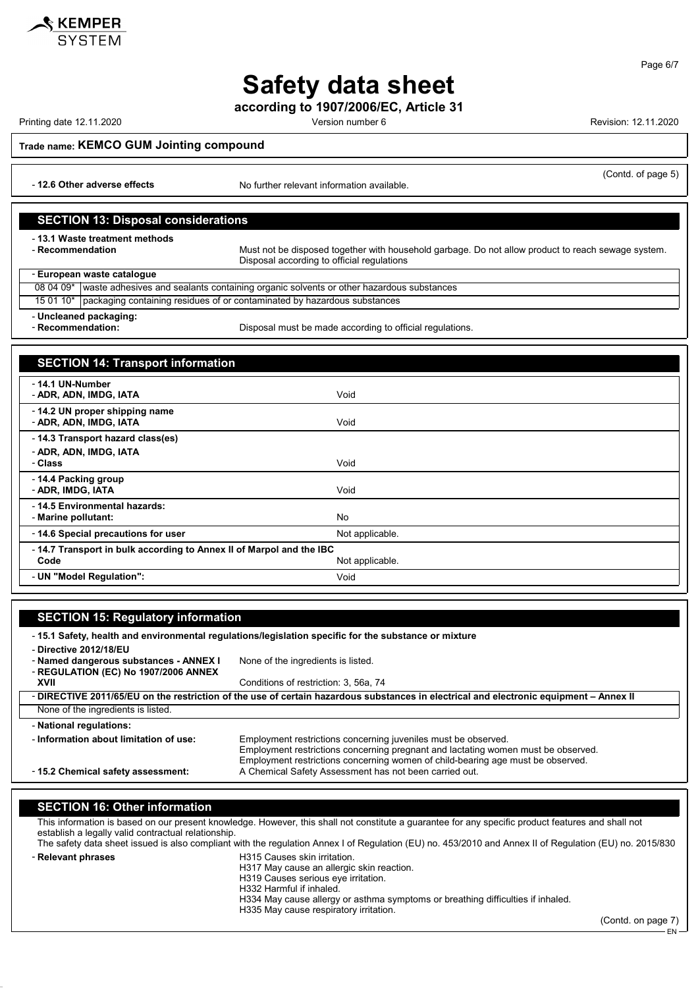

according to 1907/2006/EC, Article 31

Printing date 12.11.2020 **Version number 6 Revision: 12.11.2020** Revision: 12.11.2020

Trade name: KEMCO GUM Jointing compound

- 12.6 Other adverse effects No further relevant information available.

#### SECTION 13: Disposal considerations

- 13.1 Waste treatment methods<br>- Recommendation

Must not be disposed together with household garbage. Do not allow product to reach sewage system. Disposal according to official regulations

- European waste catalogue

08 04 09\* waste adhesives and sealants containing organic solvents or other hazardous substances

15 01 10\* packaging containing residues of or contaminated by hazardous substances

- Uncleaned packaging:

- Recommendation: **Disposal must be made according to official regulations.** 

#### SECTION 14: Transport information -<br>- 14.1 UN-Number - **ADR, ADN, IMDG, IATA** Void - 14.2 UN proper shipping name - ADR, ADN, IMDG, IATA Void - 14.3 Transport hazard class(es) - ADR, ADN, IMDG, IATA - Class Void - 14.4 Packing group - **ADR, IMDG, IATA** Void - 14.5 Environmental hazards: - Marine pollutant: No - 14.6 Special precautions for user Not applicable. - 14.7 Transport in bulk according to Annex II of Marpol and the IBC Not applicable. - UN "Model Regulation": Void

| <b>SECTION 15: Regulatory information</b>                                                                                              |                                                                                   |  |
|----------------------------------------------------------------------------------------------------------------------------------------|-----------------------------------------------------------------------------------|--|
| -15.1 Safety, health and environmental regulations/legislation specific for the substance or mixture                                   |                                                                                   |  |
| - Directive 2012/18/EU                                                                                                                 |                                                                                   |  |
| - Named dangerous substances - ANNEX I                                                                                                 | None of the ingredients is listed.                                                |  |
| - REGULATION (EC) No 1907/2006 ANNEX                                                                                                   |                                                                                   |  |
| XVII                                                                                                                                   | Conditions of restriction: 3, 56a, 74                                             |  |
| - DIRECTIVE 2011/65/EU on the restriction of the use of certain hazardous substances in electrical and electronic equipment - Annex II |                                                                                   |  |
| None of the ingredients is listed.                                                                                                     |                                                                                   |  |
| - National regulations:                                                                                                                |                                                                                   |  |
| - Information about limitation of use:                                                                                                 | Employment restrictions concerning juveniles must be observed.                    |  |
|                                                                                                                                        | Employment restrictions concerning pregnant and lactating women must be observed. |  |
|                                                                                                                                        | Employment restrictions concerning women of child-bearing age must be observed.   |  |
| - 15.2 Chemical safety assessment:                                                                                                     | A Chemical Safety Assessment has not been carried out.                            |  |
|                                                                                                                                        |                                                                                   |  |

#### SECTION 16: Other information

This information is based on our present knowledge. However, this shall not constitute a guarantee for any specific product features and shall not establish a legally valid contractual relationship.

The safety data sheet issued is also compliant with the regulation Annex I of Regulation (EU) no. 453/2010 and Annex II of Regulation (EU) no. 2015/830 - Relevant phrases **H315** Causes skin irritation.

H317 May cause an allergic skin reaction.

H319 Causes serious eye irritation.

H332 Harmful if inhaled.

- H334 May cause allergy or asthma symptoms or breathing difficulties if inhaled.
	- H335 May cause respiratory irritation.

(Contd. on page 7)

EN



(Contd. of page 5)

Page 6/7